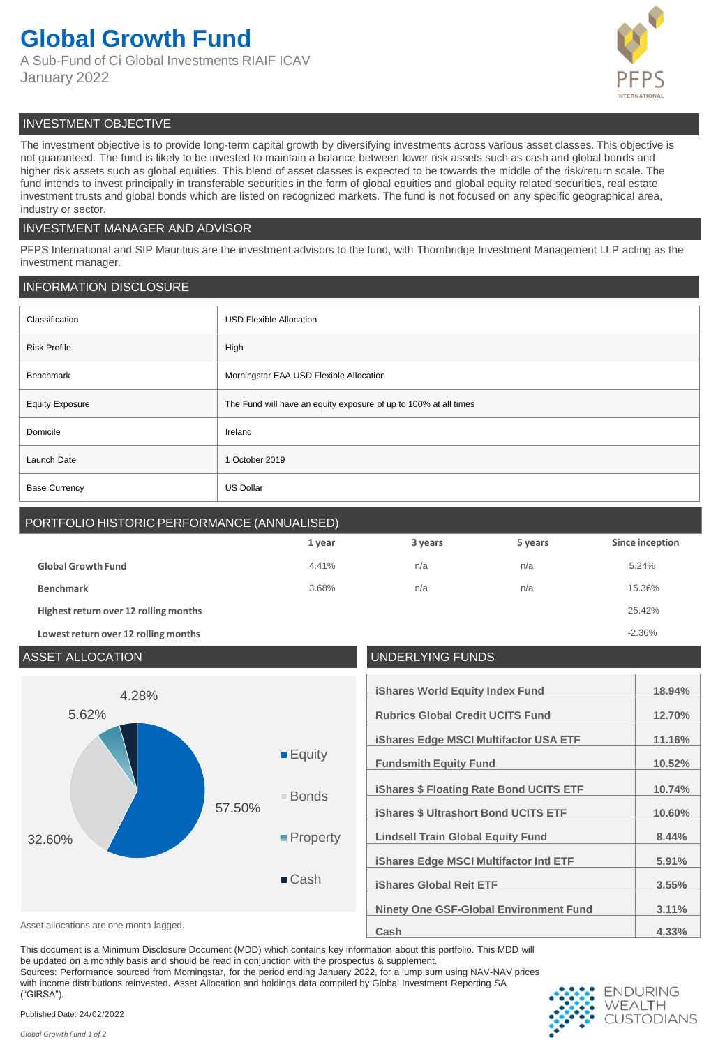## **Global Growth Fund**

A Sub-Fund of Ci Global Investments RIAIF ICAV January 2022



## INVESTMENT OBJECTIVE

The investment objective is to provide long-term capital growth by diversifying investments across various asset classes. This objective is not guaranteed. The fund is likely to be invested to maintain a balance between lower risk assets such as cash and global bonds and higher risk assets such as global equities. This blend of asset classes is expected to be towards the middle of the risk/return scale. The fund intends to invest principally in transferable securities in the form of global equities and global equity related securities, real estate investment trusts and global bonds which are listed on recognized markets. The fund is not focused on any specific geographical area, industry or sector.

## INVESTMENT MANAGER AND ADVISOR

PFPS International and SIP Mauritius are the investment advisors to the fund, with Thornbridge Investment Management LLP acting as the investment manager.

## INFORMATION DISCLOSURE

| Classification         | <b>USD Flexible Allocation</b>                                   |  |
|------------------------|------------------------------------------------------------------|--|
| <b>Risk Profile</b>    | High                                                             |  |
| Benchmark              | Morningstar EAA USD Flexible Allocation                          |  |
| <b>Equity Exposure</b> | The Fund will have an equity exposure of up to 100% at all times |  |
| Domicile               | Ireland                                                          |  |
| Launch Date            | 1 October 2019                                                   |  |
| <b>Base Currency</b>   | <b>US Dollar</b>                                                 |  |

## PORTFOLIO HISTORIC PERFORMANCE (ANNUALISED)

|                                       | 1 year | 3 years | 5 years | Since inception |
|---------------------------------------|--------|---------|---------|-----------------|
| <b>Global Growth Fund</b>             | 4.41%  | n/a     | n/a     | 5.24%           |
| <b>Benchmark</b>                      | 3.68%  | n/a     | n/a     | 15.36%          |
| Highest return over 12 rolling months | 25.42% |         |         |                 |
| Lowest return over 12 rolling months  |        |         |         | $-2.36%$        |

## ASSET ALLOCATION UNDERLYING FUNDS **iShares World Equity Index Fund 18.94% Rubrics Global Credit UCITS Fund 12.70% iShares Edge MSCI Multifactor USA ETF 11.16% Fundsmith Equity Fund 10.52% iShares \$ Floating Rate Bond UCITS ETF 10.74% iShares \$ Ultrashort Bond UCITS ETF 10.60% Lindsell Train Global Equity Fund 8.44% iShares Edge MSCI Multifactor Intl ETF 5.91% iShares Global Reit ETF 3.55% Ninety One GSF-Global Environment Fund 3.11%** Asset allocations are one month lagged. **Asset allocations are one month lagged. 4.33%** 57.50% 32.60% 5.62% 4.28% **Equity** Bonds ■ Property ■ Cash

This document is a Minimum Disclosure Document (MDD) which contains key information about this portfolio. This MDD will

be updated on a monthly basis and should be read in conjunction with the prospectus & supplement.

Sources: Performance sourced from Morningstar, for the period ending January 2022, for a lump sum using NAV-NAV prices

with income distributions reinvested. Asset Allocation and holdings data compiled by Global Investment Reporting SA ("GIRSA").



Published Date: 24/02/2022